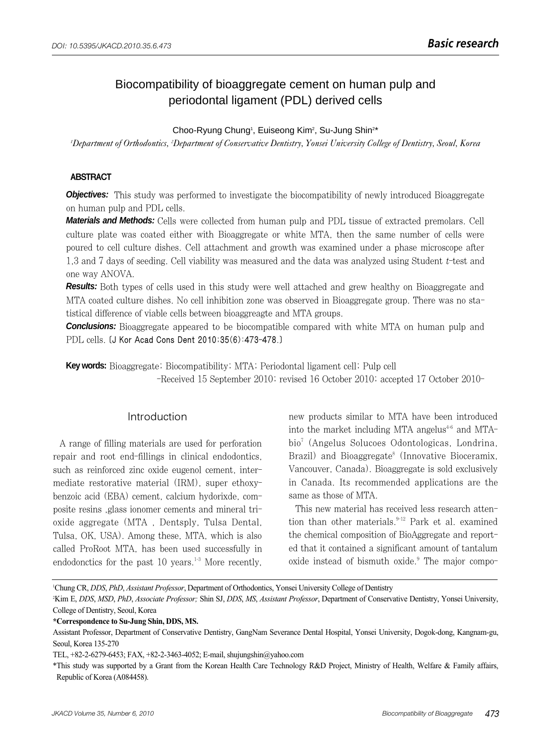# Biocompatibility of bioaggregate cement on human pulp and periodontal ligament (PDL) derived cells

Choo-Ryung Chung<sup>1</sup>, Euiseong Kim<sup>2</sup>, Su-Jung Shin<sup>2\*</sup>

*1 Department of Orthodontics, 2 Department of Conservative Dentistry, Yonsei University College of Dentistry, Seoul, Korea*

#### ABSTRACT

**Objectives:** This study was performed to investigate the biocompatibility of newly introduced Bioaggregate on human pulp and PDL cells.

**Materials and Methods:** Cells were collected from human pulp and PDL tissue of extracted premolars. Cell culture plate was coated either with Bioaggregate or white MTA, then the same number of cells were poured to cell culture dishes. Cell attachment and growth was examined under a phase microscope after 1,3 and 7 days of seeding. Cell viability was measured and the data was analyzed using Student t-test and one way ANOVA.

**Results:** Both types of cells used in this study were well attached and grew healthy on Bioaggregate and MTA coated culture dishes. No cell inhibition zone was observed in Bioaggregate group. There was no statistical difference of viable cells between bioaggreagte and MTA groups.

**Conclusions:** Bioaggregate appeared to be biocompatible compared with white MTA on human pulp and PDL cells. [J Kor Acad Cons Dent 2010;35(6):473-478.]

**Key words:** Bioaggregate; Biocompatibility; MTA; Periodontal ligament cell; Pulp cell -Received 15 September 2010; revised 16 October 2010; accepted 17 October 2010-

#### Introduction

A range of filling materials are used for perforation repair and root end-fillings in clinical endodontics, such as reinforced zinc oxide eugenol cement, intermediate restorative material (IRM), super ethoxybenzoic acid (EBA) cement, calcium hydorixde, composite resins ,glass ionomer cements and mineral trioxide aggregate (MTA , Dentsply, Tulsa Dental, Tulsa, OK, USA). Among these, MTA, which is also called ProRoot MTA, has been used successfully in endodonctics for the past  $10$  years.<sup>1-3</sup> More recently, new products similar to MTA have been introduced into the market including MTA angelus<sup>4-6</sup> and MTAbio7 (Angelus Solucoes Odontologicas, Londrina, Brazil) and Bioaggregate<sup>8</sup> (Innovative Bioceramix, Vancouver, Canada). Bioaggregate is sold exclusively in Canada. Its recommended applications are the same as those of MTA.

This new material has received less research attention than other materials. $9-12$  Park et al. examined the chemical composition of BioAggregate and reported that it contained a significant amount of tantalum oxide instead of bismuth oxide.<sup>9</sup> The major compo-

1 Chung CR, *DDS*, *PhD*, *Assistant Professor*, Department of Orthodontics, Yonsei University College of Dentistry

2 Kim E, *DDS*, *MSD*, *PhD*, *Associate Professor;* Shin SJ, *DDS*, *MS*, *Assistant Professor*, Department of Conservative Dentistry, Yonsei University, College of Dentistry, Seoul, Korea

**\*Correspondence to Su-Jung Shin, DDS, MS.**

Assistant Professor, Department of Conservative Dentistry, GangNam Severance Dental Hospital, Yonsei University, Dogok-dong, Kangnam-gu, Seoul, Korea 135-270

TEL, +82-2-6279-6453; FAX, +82-2-3463-4052; E-mail, shujungshin@yahoo.com

<sup>\*</sup>This study was supported by a Grant from the Korean Health Care Technology R&D Project, Ministry of Health, Welfare & Family affairs, Republic of Korea (A084458).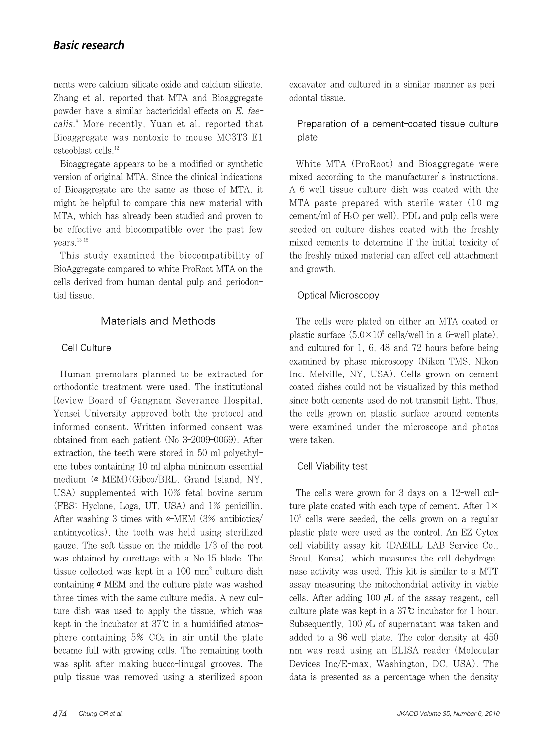nents were calcium silicate oxide and calcium silicate. Zhang et al. reported that MTA and Bioaggregate powder have a similar bactericidal effects on E. faecalis. <sup>8</sup> More recently, Yuan et al. reported that Bioaggregate was nontoxic to mouse MC3T3-E1 osteoblast cells.12

Bioaggregate appears to be a modified or synthetic version of original MTA. Since the clinical indications of Bioaggregate are the same as those of MTA, it might be helpful to compare this new material with MTA, which has already been studied and proven to be effective and biocompatible over the past few years.<sup>13-15</sup>

This study examined the biocompatibility of BioAggregate compared to white ProRoot MTA on the cells derived from human dental pulp and periodontial tissue.

# Materials and Methods

## Cell Culture

Human premolars planned to be extracted for orthodontic treatment were used. The institutional Review Board of Gangnam Severance Hospital, Yensei University approved both the protocol and informed consent. Written informed consent was obtained from each patient (No 3-2009-0069). After extraction, the teeth were stored in 50 ml polyethylene tubes containing 10 ml alpha minimum essential medium  $(\alpha-\text{MEM})$ (Gibco/BRL, Grand Island, NY, USA) supplemented with 10% fetal bovine serum (FBS; Hyclone, Loga, UT, USA) and 1% penicillin. After washing 3 times with  $\alpha$ -MEM (3% antibiotics/ antimycotics), the tooth was held using sterilized gauze. The soft tissue on the middle 1/3 of the root was obtained by curettage with a No.15 blade. The tissue collected was kept in a  $100 \text{ mm}^2$  culture dish containing  $\alpha$ -MEM and the culture plate was washed three times with the same culture media. A new culture dish was used to apply the tissue, which was kept in the incubator at 37℃ in a humidified atmosphere containing  $5\%$  CO<sub>2</sub> in air until the plate became full with growing cells. The remaining tooth was split after making bucco-linugal grooves. The pulp tissue was removed using a sterilized spoon excavator and cultured in a similar manner as periodontal tissue.

Preparation of a cement-coated tissue culture plate

White MTA (ProRoot) and Bioaggregate were mixed according to the manufacturer's instructions. A 6-well tissue culture dish was coated with the MTA paste prepared with sterile water (10 mg cement/ml of  $H_2O$  per well). PDL and pulp cells were seeded on culture dishes coated with the freshly mixed cements to determine if the initial toxicity of the freshly mixed material can affect cell attachment and growth.

## Optical Microscopy

The cells were plated on either an MTA coated or plastic surface  $(5.0 \times 10^5 \text{ cells/well in a } 6$ -well plate), and cultured for 1, 6, 48 and 72 hours before being examined by phase microscopy (Nikon TMS, Nikon Inc. Melville, NY, USA). Cells grown on cement coated dishes could not be visualized by this method since both cements used do not transmit light. Thus, the cells grown on plastic surface around cements were examined under the microscope and photos were taken.

# Cell Viability test

The cells were grown for 3 days on a 12-well culture plate coated with each type of cement. After  $1\times$  $10<sup>5</sup>$  cells were seeded, the cells grown on a regular plastic plate were used as the control. An EZ-Cytox cell viability assay kit (DAEILL LAB Service Co., Seoul, Korea), which measures the cell dehydrogenase activity was used. This kit is similar to a MTT assay measuring the mitochondrial activity in viable cells. After adding 100  $\mu$ L of the assay reagent, cell culture plate was kept in a 37℃ incubator for 1 hour. Subsequently,  $100 \mu L$  of supernatant was taken and added to a 96-well plate. The color density at 450 nm was read using an ELISA reader (Molecular Devices Inc/E-max, Washington, DC, USA). The data is presented as a percentage when the density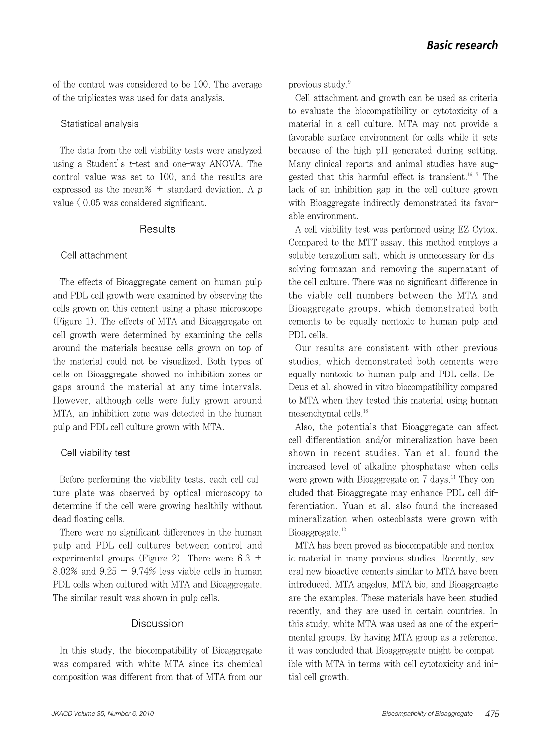of the control was considered to be 100. The average of the triplicates was used for data analysis.

#### Statistical analysis

The data from the cell viability tests were analyzed using a Student's t-test and one-way ANOVA. The control value was set to 100, and the results are expressed as the mean $\% \pm$  standard deviation. A p value  $\langle 0.05 \text{ was considered significant.} \rangle$ 

#### **Results**

#### Cell attachment

The effects of Bioaggregate cement on human pulp and PDL cell growth were examined by observing the cells grown on this cement using a phase microscope (Figure 1). The effects of MTA and Bioaggregate on cell growth were determined by examining the cells around the materials because cells grown on top of the material could not be visualized. Both types of cells on Bioaggregate showed no inhibition zones or gaps around the material at any time intervals. However, although cells were fully grown around MTA, an inhibition zone was detected in the human pulp and PDL cell culture grown with MTA.

#### Cell viability test

Before performing the viability tests, each cell culture plate was observed by optical microscopy to determine if the cell were growing healthily without dead floating cells.

There were no significant differences in the human pulp and PDL cell cultures between control and experimental groups (Figure 2). There were 6.3  $\pm$ 8.02% and  $9.25 \pm 9.74$ % less viable cells in human PDL cells when cultured with MTA and Bioaggregate. The similar result was shown in pulp cells.

# Discussion

In this study, the biocompatibility of Bioaggregate was compared with white MTA since its chemical composition was different from that of MTA from our previous study.9

Cell attachment and growth can be used as criteria to evaluate the biocompatibility or cytotoxicity of a material in a cell culture. MTA may not provide a favorable surface environment for cells while it sets because of the high pH generated during setting. Many clinical reports and animal studies have suggested that this harmful effect is transient.<sup>16,17</sup> The lack of an inhibition gap in the cell culture grown with Bioaggregate indirectly demonstrated its favorable environment.

A cell viability test was performed using EZ-Cytox. Compared to the MTT assay, this method employs a soluble terazolium salt, which is unnecessary for dissolving formazan and removing the supernatant of the cell culture. There was no significant difference in the viable cell numbers between the MTA and Bioaggregate groups, which demonstrated both cements to be equally nontoxic to human pulp and PDL cells.

Our results are consistent with other previous studies, which demonstrated both cements were equally nontoxic to human pulp and PDL cells. De-Deus et al. showed in vitro biocompatibility compared to MTA when they tested this material using human mesenchymal cells.18

Also, the potentials that Bioaggregate can affect cell differentiation and/or mineralization have been shown in recent studies. Yan et al. found the increased level of alkaline phosphatase when cells were grown with Bioaggregate on 7 days.<sup>11</sup> They concluded that Bioaggregate may enhance PDL cell differentiation. Yuan et al. also found the increased mineralization when osteoblasts were grown with Bioaggregate.<sup>12</sup>

MTA has been proved as biocompatible and nontoxic material in many previous studies. Recently, several new bioactive cements similar to MTA have been introduced. MTA angelus, MTA bio, and Bioaggreagte are the examples. These materials have been studied recently, and they are used in certain countries. In this study, white MTA was used as one of the experimental groups. By having MTA group as a reference, it was concluded that Bioaggregate might be compatible with MTA in terms with cell cytotoxicity and initial cell growth.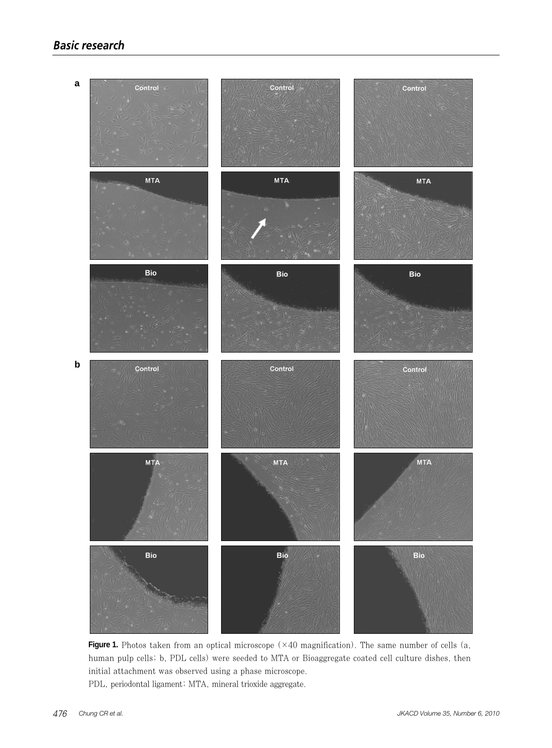

**Figure 1.** Photos taken from an optical microscope (×40 magnification). The same number of cells (a, human pulp cells; b, PDL cells) were seeded to MTA or Bioaggregate coated cell culture dishes, then initial attachment was observed using a phase microscope. PDL, periodontal ligament; MTA, mineral trioxide aggregate.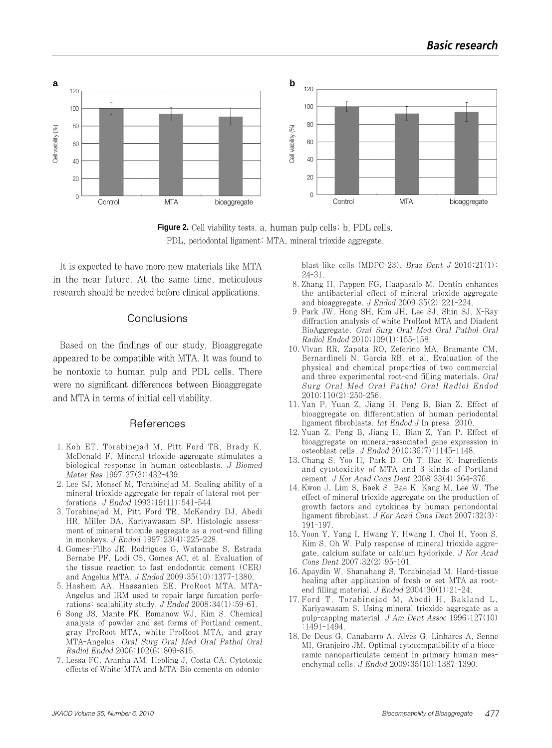

Figure 2. Cell viability tests. a, human pulp cells; b, PDL cells. PDL, periodontal ligament; MTA, mineral trioxide aggregate.

It is expected to have more new materials like MTA in the near future. At the same time, meticulous research should be needed before clinical applications.

#### Conclusions

Based on the findings of our study, Bioaggregate appeared to be compatible with MTA. It was found to be nontoxic to human pulp and PDL cells. There were no significant differences between Bioaggregate and MTA in terms of initial cell viability.

#### References

- 1. Koh ET, Torabinejad M, Pitt Ford TR, Brady K, McDonald F. Mineral trioxide aggregate stimulates a biological response in human osteoblasts. J Biomed Mater Res 1997;37(3):432-439.
- 2. Lee SJ, Monsef M, Torabinejad M. Sealing ability of a mineral trioxide aggregate for repair of lateral root perforations. J Endod 1993;19(11):541-544.
- 3. Torabinejad M, Pitt Ford TR, McKendry DJ, Abedi HR, Miller DA, Kariyawasam SP. Histologic assessment of mineral trioxide aggregate as a root-end filling in monkeys. J Endod 1997;23(4):225-228.
- 4. Gomes-Filho JE, Rodrigues G, Watanabe S, Estrada Bernabe PF, Lodi CS, Gomes AC, et al. Evaluation of the tissue reaction to fast endodontic cement (CER) and Angelus MTA. J Endod 2009;35(10):1377-1380.
- 5. Hashem AA, Hassanien EE. ProRoot MTA, MTA-Angelus and IRM used to repair large furcation perforations: sealability study. J Endod 2008;34(1):59-61.
- 6 Song JS, Mante FK, Romanow WJ, Kim S. Chemical analysis of powder and set forms of Portland cement, gray ProRoot MTA, white ProRoot MTA, and gray MTA-Angelus. Oral Surg Oral Med Oral Pathol Oral Radiol Endod 2006;102(6):809-815.
- 7. Lessa FC, Aranha AM, Hebling J, Costa CA. Cytotoxic effects of White-MTA and MTA-Bio cements on odonto-

blast-like cells (MDPC-23). Braz Dent  $J$  2010;21(1): 24-31.

- 8. Zhang H, Pappen FG, Haapasalo M. Dentin enhances the antibacterial effect of mineral trioxide aggregate and bioaggregate. J Endod 2009;35(2):221-224.
- 9. Park JW, Hong SH, Kim JH, Lee SJ, Shin SJ. X-Ray diffraction analysis of white ProRoot MTA and Diadent BioAggregate. Oral Surg Oral Med Oral Pathol Oral Radiol Endod 2010;109(1):155-158.
- 10. Vivan RR, Zapata RO, Zeferino MA, Bramante CM, Bernardineli N, Garcia RB, et al. Evaluation of the physical and chemical properties of two commercial and three experimental root-end filling materials. Oral Surg Oral Med Oral Pathol Oral Radiol Endod 2010;110(2):250-256.
- 11. Yan P, Yuan Z, Jiang H, Peng B, Bian Z. Effect of bioaggregate on differentiation of human periodontal ligament fibroblasts. Int Endod J In press, 2010.
- 12. Yuan Z, Peng B, Jiang H, Bian Z, Yan P. Effect of bioaggregate on mineral-associated gene expression in osteoblast cells. J Endod 2010;36(7):1145-1148.
- 13. Chang S, Yoo H, Park D, Oh T, Bae K. Ingredients and cytotoxicity of MTA and 3 kinds of Portland cement. J Kor Acad Cons Dent 2008;33(4):364-376.
- 14. Kwon J, Lim S, Baek S, Bae K, Kang M, Lee W. The effect of mineral trioxide aggregate on the production of growth factors and cytokines by human periondontal ligament fibroblast. J Kor Acad Cons Dent 2007;32(3): 191-197.
- 15. Yoon Y, Yang I, Hwang Y, Hwang I, Choi H, Yoon S, Kim S, Oh W. Pulp response of mineral trioxide aggregate, calcium sulfate or calcium hydorixde. J Kor Acad Cons Dent 2007;32(2):95-101.
- 16. Apaydin W, Shanahang S, Torabinejad M. Hard-tissue healing after application of fresh or set MTA as rootend filling material. J Endod 2004;30(1):21-24.
- 17. Ford T, Torabinejad M, Abedi H, Bakland L, Kariyawasam S. Using mineral trioxide aggregate as a pulp-capping material. J Am Dent Assoc 1996;127(10) :1491-1494.
- 18. De-Deus G, Canabarro A, Alves G, Linhares A, Senne MI, Granjeiro JM. Optimal cytocompatibility of a bioceramic nanoparticulate cement in primary human mesenchymal cells. J Endod 2009;35(10):1387-1390.